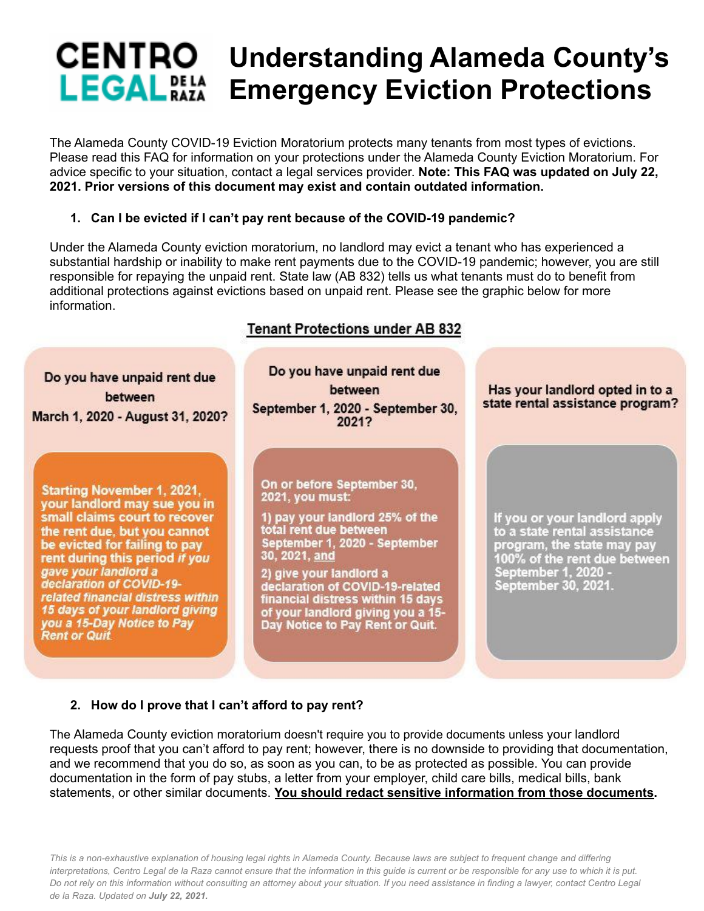# **Understanding Alameda County's LEGAL DELA Emergency Eviction Protections**

The Alameda County COVID-19 Eviction Moratorium protects many tenants from most types of evictions. Please read this FAQ for information on your protections under the Alameda County Eviction Moratorium. For advice specific to your situation, contact a legal services provider. **Note: This FAQ was updated on July 22, 2021. Prior versions of this document may exist and contain outdated information.**

## **1. Can I be evicted if I can't pay rent because of the COVID-19 pandemic?**

Under the Alameda County eviction moratorium, no landlord may evict a tenant who has experienced a substantial hardship or inability to make rent payments due to the COVID-19 pandemic; however, you are still responsible for repaying the unpaid rent. State law (AB 832) tells us what tenants must do to benefit from additional protections against evictions based on unpaid rent. Please see the graphic below for more information.

# Do you have unpaid rent due between March 1, 2020 - August 31, 2020?

**Starting November 1, 2021,** your landlord may sue you in small claims court to recover the rent due, but you cannot be evicted for failing to pay rent during this period if you gave your landlord a declaration of COVID-19related financial distress within 15 days of your landlord giving you a 15-Day Notice to Pay **Rent or Quit** 

# **Tenant Protections under AB 832**

Do you have unpaid rent due between September 1, 2020 - September 30, 2021?

On or before September 30, **2021, you must:** 

1) pay your landlord 25% of the total rent due between September 1, 2020 - September 30, 2021, and

2) give your landlord a declaration of COVID-19-related financial distress within 15 days of your landlord giving you a 15-<br>Day Notice to Pay Rent or Quit.

#### Has your landlord opted in to a state rental assistance program?

If you or your landlord apply to a state rental assistance program, the state may pay<br>100% of the rent due between September 1, 2020 -September 30, 2021.

## **2. How do I prove that I can't afford to pay rent?**

The Alameda County eviction moratorium doesn't require you to provide documents unless your landlord requests proof that you can't afford to pay rent; however, there is no downside to providing that documentation, and we recommend that you do so, as soon as you can, to be as protected as possible. You can provide documentation in the form of pay stubs, a letter from your employer, child care bills, medical bills, bank statements, or other similar documents. **You should redact sensitive information from those documents.**

This is a non-exhaustive explanation of housing legal rights in Alameda County. Because laws are subject to frequent change and differing interpretations. Centro Legal de la Raza cannot ensure that the information in this quide is current or be responsible for any use to which it is put. Do not rely on this information without consulting an attorney about your situation. If you need assistance in finding a lawyer, contact Centro Legal *de la Raza. Updated on July 22, 2021.*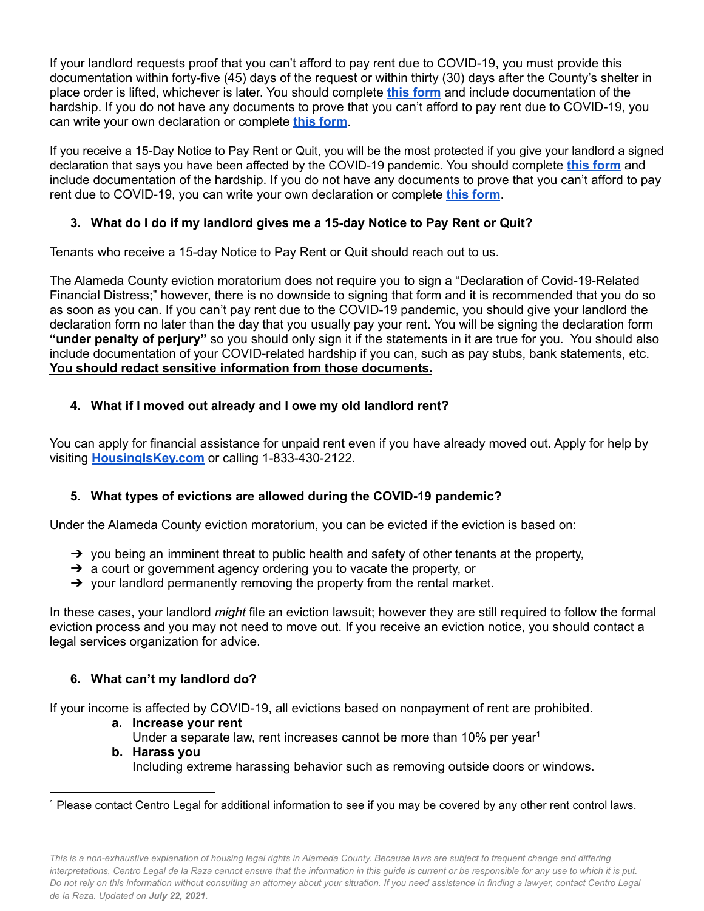If your landlord requests proof that you can't afford to pay rent due to COVID-19, you must provide this documentation within forty-five (45) days of the request or within thirty (30) days after the County's shelter in place order is lifted, whichever is later. You should complete **this [form](https://drive.google.com/file/d/1iefzp3ULaRETULFAGtooCQR-C738Omnp/view?usp=sharing)** and include documentation of the hardship. If you do not have any documents to prove that you can't afford to pay rent due to COVID-19, you can write your own declaration or complete **this [form](https://drive.google.com/file/d/17jwDb5vT2VgZsrGkb2yqYoJ75Sqh670H/view?usp=sharing)**.

If you receive a 15-Day Notice to Pay Rent or Quit, you will be the most protected if you give your landlord a signed declaration that says you have been affected by the COVID-19 pandemic. You should complete **this [form](https://drive.google.com/file/d/1iefzp3ULaRETULFAGtooCQR-C738Omnp/view?usp=sharing)** and include documentation of the hardship. If you do not have any documents to prove that you can't afford to pay rent due to COVID-19, you can write your own declaration or complete **this [form](https://drive.google.com/file/d/17jwDb5vT2VgZsrGkb2yqYoJ75Sqh670H/view?usp=sharing)**.

## **3. What do I do if my landlord gives me a 15-day Notice to Pay Rent or Quit?**

Tenants who receive a 15-day Notice to Pay Rent or Quit should reach out to us.

The Alameda County eviction moratorium does not require you to sign a "Declaration of Covid-19-Related Financial Distress;" however, there is no downside to signing that form and it is recommended that you do so as soon as you can. If you can't pay rent due to the COVID-19 pandemic, you should give your landlord the declaration form no later than the day that you usually pay your rent. You will be signing the declaration form **"under penalty of perjury"** so you should only sign it if the statements in it are true for you. You should also include documentation of your COVID-related hardship if you can, such as pay stubs, bank statements, etc. **You should redact sensitive information from those documents.**

## **4. What if I moved out already and I owe my old landlord rent?**

You can apply for financial assistance for unpaid rent even if you have already moved out. Apply for help by visiting **[HousingIsKey.com](https://crla.org/get-help/covid-19-and-housing/HousingIsKey.com)** or calling 1-833-430-2122.

## **5. What types of evictions are allowed during the COVID-19 pandemic?**

Under the Alameda County eviction moratorium, you can be evicted if the eviction is based on:

- $\rightarrow$  you being an imminent threat to public health and safety of other tenants at the property,
- → a court or government agency ordering you to vacate the property, or
- $\rightarrow$  your landlord permanently removing the property from the rental market.

In these cases, your landlord *might* file an eviction lawsuit; however they are still required to follow the formal eviction process and you may not need to move out. If you receive an eviction notice, you should contact a legal services organization for advice.

## **6. What can't my landlord do?**

If your income is affected by COVID-19, all evictions based on nonpayment of rent are prohibited.

- **a. Increase your rent**
- Under a separate law, rent increases cannot be more than 10% per year<sup>1</sup>
- **b. Harass you** Including extreme harassing behavior such as removing outside doors or windows.

<sup>1</sup> Please contact Centro Legal for additional information to see if you may be covered by any other rent control laws.

This is a non-exhaustive explanation of housing legal rights in Alameda County. Because laws are subject to frequent change and differing interpretations. Centro Legal de la Raza cannot ensure that the information in this quide is current or be responsible for any use to which it is put. Do not rely on this information without consulting an attorney about your situation. If you need assistance in finding a lawyer, contact Centro Legal *de la Raza. Updated on July 22, 2021.*